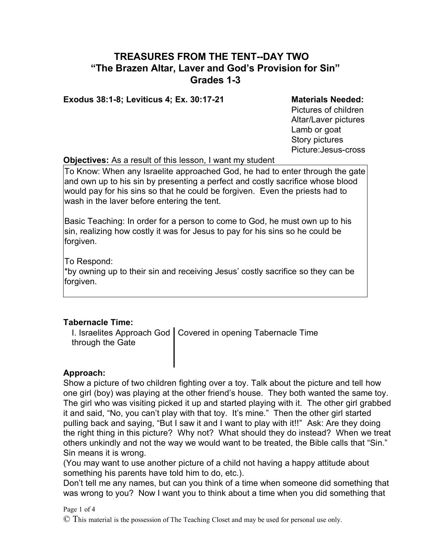# **TREASURES FROM THE TENT--DAY TWO "The Brazen Altar, Laver and God's Provision for Sin" Grades 1-3**

#### **Exodus 38:1-8; Leviticus 4; Ex. 30:17-21 Materials Needed:**

Pictures of children Altar/Laver pictures Lamb or goat Story pictures Picture:Jesus-cross

### **Objectives:** As a result of this lesson, I want my student

To Know: When any Israelite approached God, he had to enter through the gate and own up to his sin by presenting a perfect and costly sacrifice whose blood would pay for his sins so that he could be forgiven. Even the priests had to wash in the laver before entering the tent.

Basic Teaching: In order for a person to come to God, he must own up to his sin, realizing how costly it was for Jesus to pay for his sins so he could be forgiven.

To Respond:

\*by owning up to their sin and receiving Jesus' costly sacrifice so they can be forgiven.

## **Tabernacle Time:**

I. Israelites Approach God | Covered in opening Tabernacle Time through the Gate

### **Approach:**

Show a picture of two children fighting over a toy. Talk about the picture and tell how one girl (boy) was playing at the other friend's house. They both wanted the same toy. The girl who was visiting picked it up and started playing with it. The other girl grabbed it and said, "No, you can't play with that toy. It's mine." Then the other girl started pulling back and saying, "But I saw it and I want to play with it!!" Ask: Are they doing the right thing in this picture? Why not? What should they do instead? When we treat others unkindly and not the way we would want to be treated, the Bible calls that "Sin." Sin means it is wrong.

(You may want to use another picture of a child not having a happy attitude about something his parents have told him to do, etc.).

Don't tell me any names, but can you think of a time when someone did something that was wrong to you? Now I want you to think about a time when you did something that

#### Page 1 of 4

© This material is the possession of The Teaching Closet and may be used for personal use only.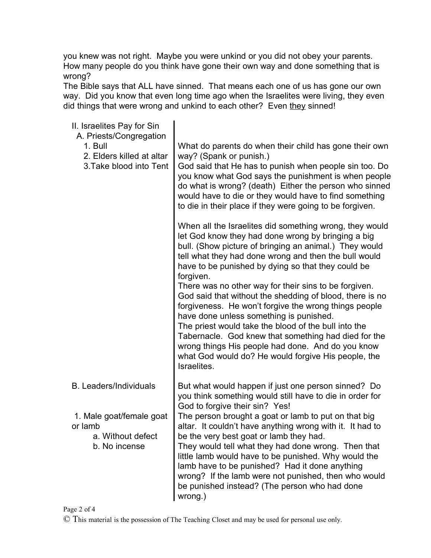you knew was not right. Maybe you were unkind or you did not obey your parents. How many people do you think have gone their own way and done something that is wrong?

The Bible says that ALL have sinned. That means each one of us has gone our own way. Did you know that even long time ago when the Israelites were living, they even did things that were wrong and unkind to each other? Even they sinned!

| II. Israelites Pay for Sin<br>A. Priests/Congregation<br>1. Bull<br>2. Elders killed at altar<br>3. Take blood into Tent | What do parents do when their child has gone their own<br>way? (Spank or punish.)<br>God said that He has to punish when people sin too. Do<br>you know what God says the punishment is when people<br>do what is wrong? (death) Either the person who sinned<br>would have to die or they would have to find something<br>to die in their place if they were going to be forgiven.                                                                                                                                                                                                                                                                                                                                                                                     |
|--------------------------------------------------------------------------------------------------------------------------|-------------------------------------------------------------------------------------------------------------------------------------------------------------------------------------------------------------------------------------------------------------------------------------------------------------------------------------------------------------------------------------------------------------------------------------------------------------------------------------------------------------------------------------------------------------------------------------------------------------------------------------------------------------------------------------------------------------------------------------------------------------------------|
|                                                                                                                          | When all the Israelites did something wrong, they would<br>let God know they had done wrong by bringing a big<br>bull. (Show picture of bringing an animal.) They would<br>tell what they had done wrong and then the bull would<br>have to be punished by dying so that they could be<br>forgiven.<br>There was no other way for their sins to be forgiven.<br>God said that without the shedding of blood, there is no<br>forgiveness. He won't forgive the wrong things people<br>have done unless something is punished.<br>The priest would take the blood of the bull into the<br>Tabernacle. God knew that something had died for the<br>wrong things His people had done. And do you know<br>what God would do? He would forgive His people, the<br>Israelites. |
| <b>B.</b> Leaders/Individuals<br>1. Male goat/female goat<br>or lamb<br>a. Without defect<br>b. No incense               | But what would happen if just one person sinned? Do<br>you think something would still have to die in order for<br>God to forgive their sin? Yes!<br>The person brought a goat or lamb to put on that big<br>altar. It couldn't have anything wrong with it. It had to<br>be the very best goat or lamb they had.<br>They would tell what they had done wrong. Then that<br>little lamb would have to be punished. Why would the<br>lamb have to be punished? Had it done anything<br>wrong? If the lamb were not punished, then who would<br>be punished instead? (The person who had done<br>wrong.)                                                                                                                                                                  |

Page 2 of 4 © This material is the possession of The Teaching Closet and may be used for personal use only.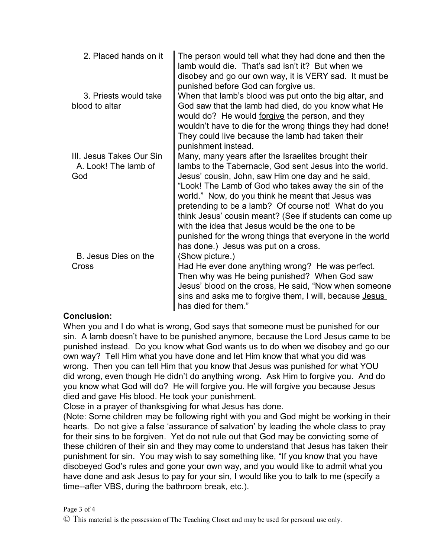| 2. Placed hands on it                                   | The person would tell what they had done and then the<br>lamb would die. That's sad isn't it? But when we<br>disobey and go our own way, it is VERY sad. It must be<br>punished before God can forgive us.                                                                                                                                                                                                                                                                                                                                                |
|---------------------------------------------------------|-----------------------------------------------------------------------------------------------------------------------------------------------------------------------------------------------------------------------------------------------------------------------------------------------------------------------------------------------------------------------------------------------------------------------------------------------------------------------------------------------------------------------------------------------------------|
| 3. Priests would take<br>blood to altar                 | When that lamb's blood was put onto the big altar, and<br>God saw that the lamb had died, do you know what He<br>would do? He would forgive the person, and they<br>wouldn't have to die for the wrong things they had done!<br>They could live because the lamb had taken their<br>punishment instead.                                                                                                                                                                                                                                                   |
| III. Jesus Takes Our Sin<br>A. Look! The lamb of<br>God | Many, many years after the Israelites brought their<br>lambs to the Tabernacle, God sent Jesus into the world.<br>Jesus' cousin, John, saw Him one day and he said,<br>"Look! The Lamb of God who takes away the sin of the<br>world." Now, do you think he meant that Jesus was<br>pretending to be a lamb? Of course not! What do you<br>think Jesus' cousin meant? (See if students can come up<br>with the idea that Jesus would be the one to be<br>punished for the wrong things that everyone in the world<br>has done.) Jesus was put on a cross. |
| B. Jesus Dies on the<br>Cross                           | (Show picture.)<br>Had He ever done anything wrong? He was perfect.<br>Then why was He being punished? When God saw<br>Jesus' blood on the cross, He said, "Now when someone<br>sins and asks me to forgive them, I will, because Jesus<br>has died for them."                                                                                                                                                                                                                                                                                            |

## **Conclusion:**

When you and I do what is wrong, God says that someone must be punished for our sin. A lamb doesn't have to be punished anymore, because the Lord Jesus came to be punished instead. Do you know what God wants us to do when we disobey and go our own way? Tell Him what you have done and let Him know that what you did was wrong. Then you can tell Him that you know that Jesus was punished for what YOU did wrong, even though He didn't do anything wrong. Ask Him to forgive you. And do you know what God will do? He will forgive you. He will forgive you because Jesus died and gave His blood. He took your punishment.

Close in a prayer of thanksgiving for what Jesus has done.

(Note: Some children may be following right with you and God might be working in their hearts. Do not give a false 'assurance of salvation' by leading the whole class to pray for their sins to be forgiven. Yet do not rule out that God may be convicting some of these children of their sin and they may come to understand that Jesus has taken their punishment for sin. You may wish to say something like, "If you know that you have disobeyed God's rules and gone your own way, and you would like to admit what you have done and ask Jesus to pay for your sin, I would like you to talk to me (specify a time--after VBS, during the bathroom break, etc.).